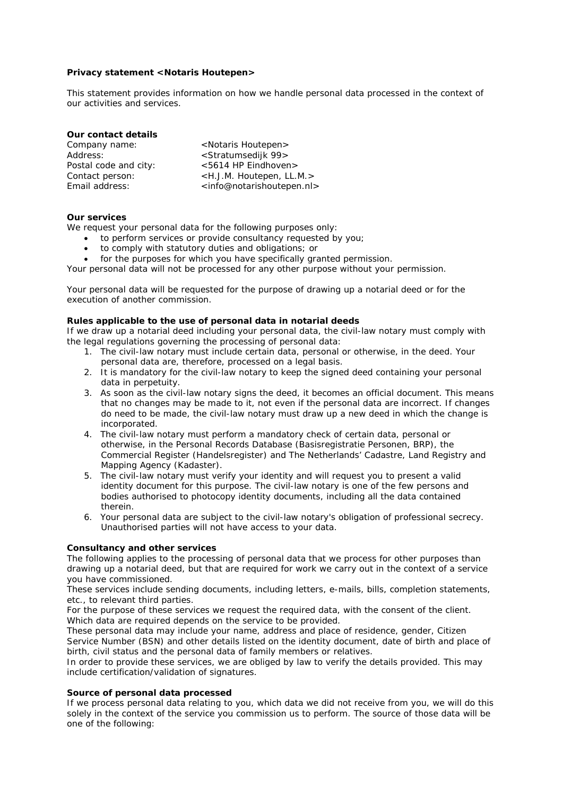#### **Privacy statement <Notaris Houtepen>**

This statement provides information on how we handle personal data processed in the context of our activities and services.

| Our contact details   |                                                     |
|-----------------------|-----------------------------------------------------|
| Company name:         | <notaris houtepen=""></notaris>                     |
| Address:              | <stratumsedijk 99=""></stratumsedijk>               |
| Postal code and city: | <5614 HP Eindhoven>                                 |
| Contact person:       | <h.j.m. houtepen,="" ll.m.=""></h.j.m.>             |
| Email address:        | <info@notarishoutepen.nl></info@notarishoutepen.nl> |

#### **Our services**

We request your personal data for the following purposes only:

- to perform services or provide consultancy requested by you;
- to comply with statutory duties and obligations; or
- for the purposes for which you have specifically granted permission.

Your personal data will not be processed for any other purpose without your permission.

Your personal data will be requested for the purpose of drawing up a notarial deed or for the execution of another commission.

#### **Rules applicable to the use of personal data in notarial deeds**

If we draw up a notarial deed including your personal data, the civil-law notary must comply with the legal regulations governing the processing of personal data:

- 1. The civil-law notary must include certain data, personal or otherwise, in the deed. Your personal data are, therefore, processed on a legal basis.
- 2. It is mandatory for the civil-law notary to keep the signed deed containing your personal data in perpetuity.
- 3. As soon as the civil-law notary signs the deed, it becomes an official document. This means that no changes may be made to it, not even if the personal data are incorrect. If changes do need to be made, the civil-law notary must draw up a new deed in which the change is incorporated.
- 4. The civil-law notary must perform a mandatory check of certain data, personal or otherwise, in the Personal Records Database (Basisregistratie Personen, BRP), the Commercial Register (Handelsregister) and The Netherlands' Cadastre, Land Registry and Mapping Agency (Kadaster).
- 5. The civil-law notary must verify your identity and will request you to present a valid identity document for this purpose. The civil-law notary is one of the few persons and bodies authorised to photocopy identity documents, including all the data contained therein.
- 6. Your personal data are subject to the civil-law notary's obligation of professional secrecy. Unauthorised parties will not have access to your data.

## **Consultancy and other services**

The following applies to the processing of personal data that we process for other purposes than drawing up a notarial deed, but that are required for work we carry out in the context of a service you have commissioned.

These services include sending documents, including letters, e-mails, bills, completion statements, etc., to relevant third parties.

For the purpose of these services we request the required data, with the consent of the client. Which data are required depends on the service to be provided.

These personal data may include your name, address and place of residence, gender, Citizen Service Number (BSN) and other details listed on the identity document, date of birth and place of birth, civil status and the personal data of family members or relatives.

In order to provide these services, we are obliged by law to verify the details provided. This may include certification/validation of signatures.

#### **Source of personal data processed**

If we process personal data relating to you, which data we did not receive from you, we will do this solely in the context of the service you commission us to perform. The source of those data will be one of the following: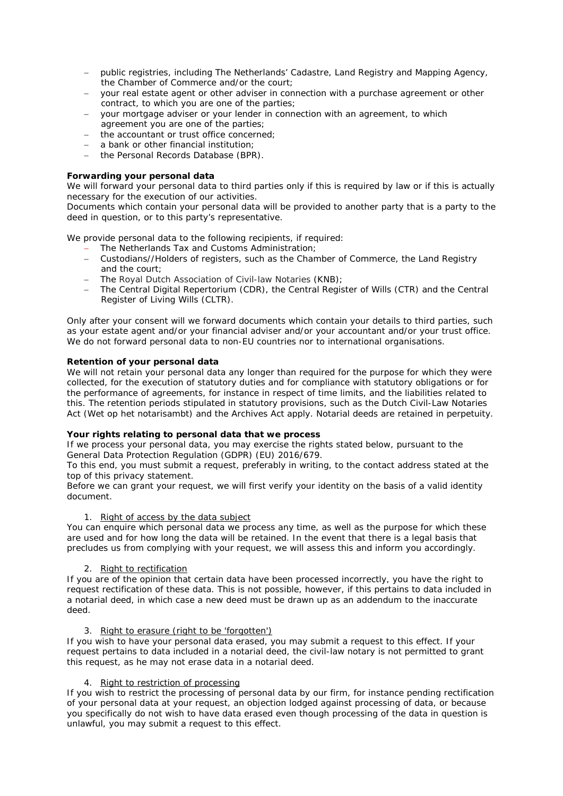- public registries, including The Netherlands' Cadastre, Land Registry and Mapping Agency, the Chamber of Commerce and/or the court;
- your real estate agent or other adviser in connection with a purchase agreement or other contract, to which you are one of the parties;
- your mortgage adviser or your lender in connection with an agreement, to which agreement you are one of the parties;
- the accountant or trust office concerned;
- a bank or other financial institution;
- the Personal Records Database (BPR).

# **Forwarding your personal data**

We will forward your personal data to third parties only if this is required by law or if this is actually necessary for the execution of our activities.

Documents which contain your personal data will be provided to another party that is a party to the deed in question, or to this party's representative.

We provide personal data to the following recipients, if required:

- The Netherlands Tax and Customs Administration;
- Custodians//Holders of registers, such as the Chamber of Commerce, the Land Registry and the court;
- The Royal Dutch Association of Civil-law Notaries (KNB):
- The Central Digital Repertorium (CDR), the Central Register of Wills (CTR) and the Central Register of Living Wills (CLTR).

Only after your consent will we forward documents which contain your details to third parties, such as your estate agent and/or your financial adviser and/or your accountant and/or your trust office. We do not forward personal data to non-EU countries nor to international organisations.

# **Retention of your personal data**

We will not retain your personal data any longer than required for the purpose for which they were collected, for the execution of statutory duties and for compliance with statutory obligations or for the performance of agreements, for instance in respect of time limits, and the liabilities related to this. The retention periods stipulated in statutory provisions, such as the Dutch Civil-Law Notaries Act (Wet op het notarisambt) and the Archives Act apply. Notarial deeds are retained in perpetuity.

## **Your rights relating to personal data that we process**

If we process your personal data, you may exercise the rights stated below, pursuant to the General Data Protection Regulation (GDPR) (EU) 2016/679.

To this end, you must submit a request, preferably in writing, to the contact address stated at the top of this privacy statement.

Before we can grant your request, we will first verify your identity on the basis of a valid identity document.

## *1. Right of access by the data subject*

You can enquire which personal data we process any time, as well as the purpose for which these are used and for how long the data will be retained. In the event that there is a legal basis that precludes us from complying with your request, we will assess this and inform you accordingly.

## *2. Right to rectification*

If you are of the opinion that certain data have been processed incorrectly, you have the right to request rectification of these data. This is not possible, however, if this pertains to data included in a notarial deed, in which case a new deed must be drawn up as an addendum to the inaccurate deed.

## *3. Right to erasure (right to be 'forgotten')*

If you wish to have your personal data erased, you may submit a request to this effect. If your request pertains to data included in a notarial deed, the civil-law notary is not permitted to grant this request, as he may not erase data in a notarial deed.

## *4. Right to restriction of processing*

If you wish to restrict the processing of personal data by our firm, for instance pending rectification of your personal data at your request, an objection lodged against processing of data, or because you specifically do not wish to have data erased even though processing of the data in question is unlawful, you may submit a request to this effect.